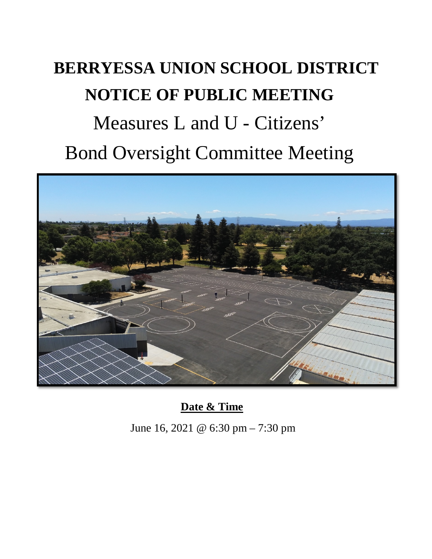## **BERRYESSA UNION SCHOOL DISTRICT NOTICE OF PUBLIC MEETING** Measures L and U - Citizens' Bond Oversight Committee Meeting



**Date & Time**

June 16, 2021 @ 6:30 pm – 7:30 pm